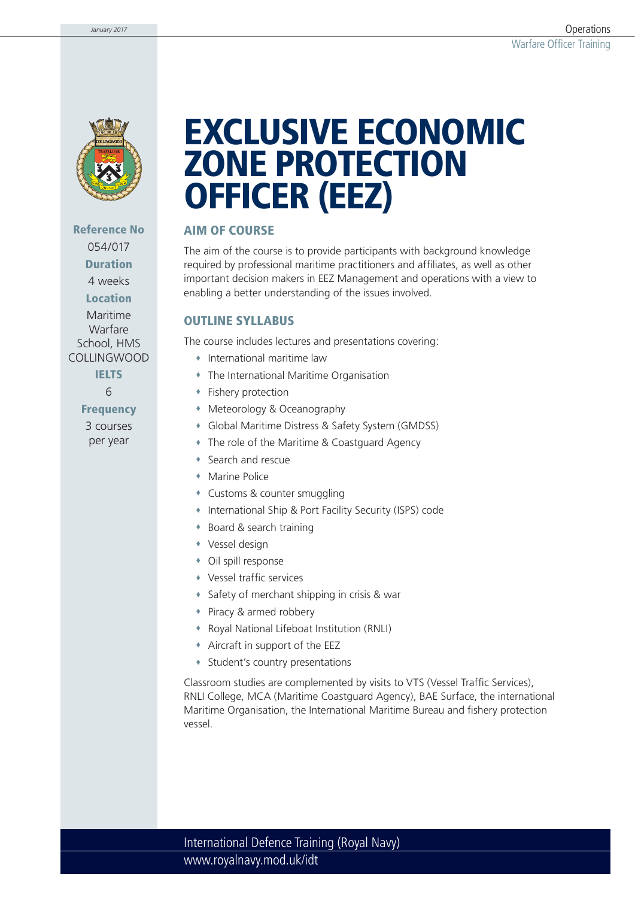

**Reference No** 054/017 **Duration** 4 weeks **Location** 

Maritime Warfare School, HMS COLLINGWOOD

> **IELTS** 6

**Frequency**

3 courses per year

# **EXCLUSIVE ECONOMIC ZONE PROTECTION OFFICER (EEZ)**

### **AIM OF COURSE**

The aim of the course is to provide participants with background knowledge required by professional maritime practitioners and affiliates, as well as other important decision makers in EEZ Management and operations with a view to enabling a better understanding of the issues involved.

### **OUTLINE SYLLABUS**

The course includes lectures and presentations covering:

- International maritime law
- The International Maritime Organisation
- Fishery protection
- Meteorology & Oceanography
- Global Maritime Distress & Safety System (GMDSS)
- The role of the Maritime & Coastguard Agency
- Search and rescue
- Marine Police
- Customs & counter smuggling
- International Ship & Port Facility Security (ISPS) code
- Board & search training
- Vessel design
- Oil spill response
- Vessel traffic services
- Safety of merchant shipping in crisis & war
- Piracy & armed robbery
- Royal National Lifeboat Institution (RNLI)
- Aircraft in support of the EEZ
- Student's country presentations

Classroom studies are complemented by visits to VTS (Vessel Traffic Services), RNLI College, MCA (Maritime Coastguard Agency), BAE Surface, the international Maritime Organisation, the International Maritime Bureau and fishery protection vessel.